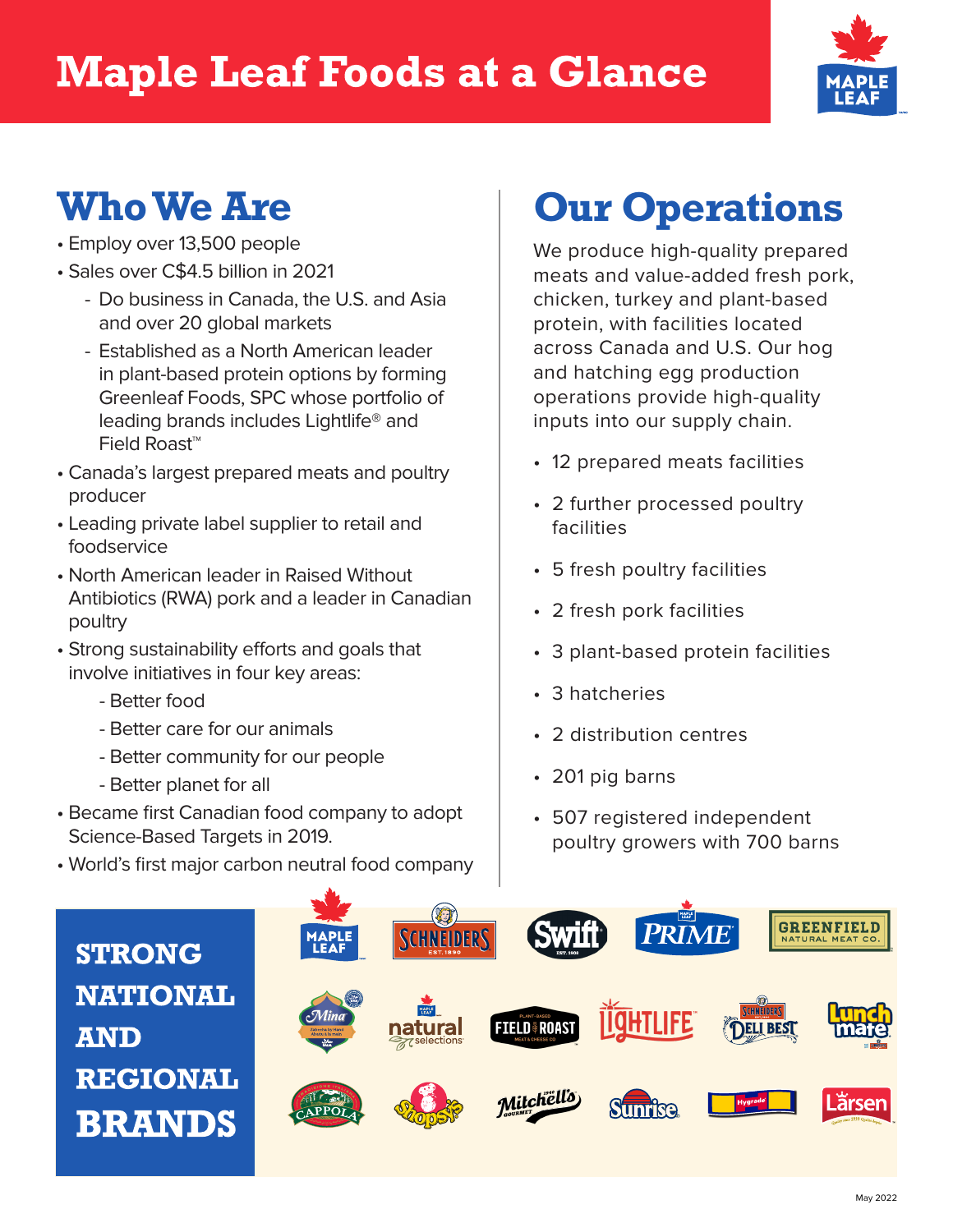## **Maple Leaf Foods at a Glance**



### **Who We Are**

- Employ over 13,500 people
- Sales over C\$4.5 billion in 2021
	- Do business in Canada, the U.S. and Asia and over 20 global markets
	- Established as a North American leader in plant-based protein options by forming Greenleaf Foods, SPC whose portfolio of leading brands includes Lightlife® and Field Roast™
- Canada's largest prepared meats and poultry producer
- Leading private label supplier to retail and foodservice
- North American leader in Raised Without Antibiotics (RWA) pork and a leader in Canadian poultry
- Strong sustainability efforts and goals that involve initiatives in four key areas:
	- Better food
	- Better care for our animals
	- Better community for our people
	- Better planet for all
- Became first Canadian food company to adopt Science-Based Targets in 2019.
- World's first major carbon neutral food company

# **Our Operations**

We produce high-quality prepared meats and value-added fresh pork, chicken, turkey and plant-based protein, with facilities located across Canada and U.S. Our hog and hatching egg production operations provide high-quality inputs into our supply chain.

- 12 prepared meats facilities
- 2 further processed poultry facilities
- 5 fresh poultry facilities
- 2 fresh pork facilities
- 3 plant-based protein facilities
- 3 hatcheries
- 2 distribution centres
- 201 pig barns
- 507 registered independent poultry growers with 700 barns